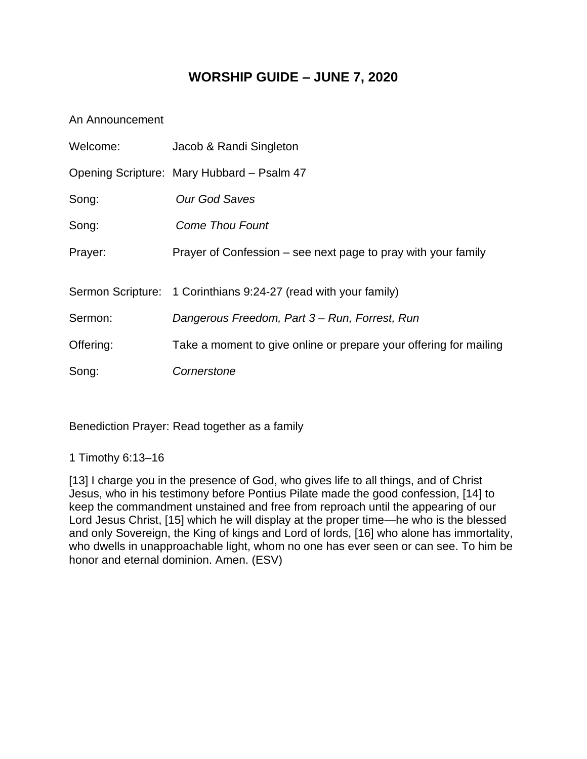# **WORSHIP GUIDE – JUNE 7, 2020**

### An Announcement

| Welcome:  | Jacob & Randi Singleton                                           |  |  |
|-----------|-------------------------------------------------------------------|--|--|
|           | Opening Scripture: Mary Hubbard - Psalm 47                        |  |  |
| Song:     | Our God Saves                                                     |  |  |
| Song:     | <b>Come Thou Fount</b>                                            |  |  |
| Prayer:   | Prayer of Confession – see next page to pray with your family     |  |  |
|           | Sermon Scripture: 1 Corinthians 9:24-27 (read with your family)   |  |  |
| Sermon:   | Dangerous Freedom, Part 3 – Run, Forrest, Run                     |  |  |
| Offering: | Take a moment to give online or prepare your offering for mailing |  |  |
| Song:     | Cornerstone                                                       |  |  |

Benediction Prayer: Read together as a family

1 Timothy 6:13–16

[13] I charge you in the presence of God, who gives life to all things, and of Christ Jesus, who in his testimony before Pontius Pilate made the good confession, [14] to keep the commandment unstained and free from reproach until the appearing of our Lord Jesus Christ, [15] which he will display at the proper time—he who is the blessed and only Sovereign, the King of kings and Lord of lords, [16] who alone has immortality, who dwells in unapproachable light, whom no one has ever seen or can see. To him be honor and eternal dominion. Amen. (ESV)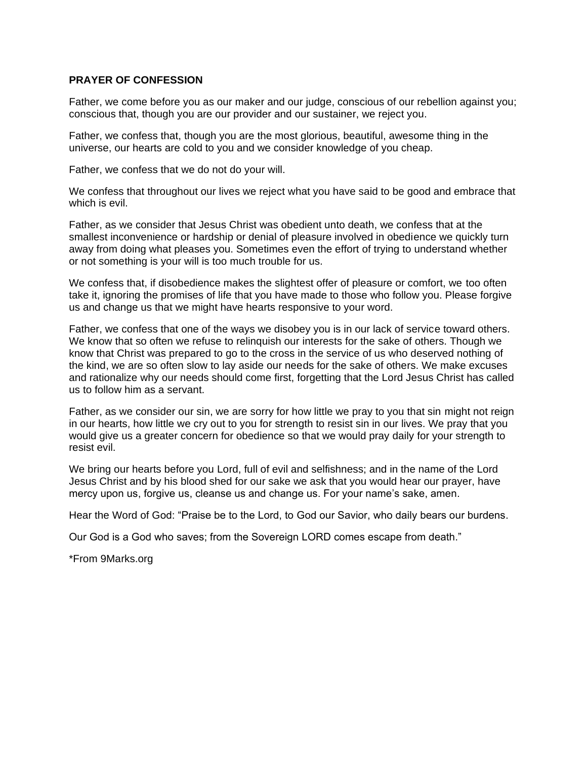#### **PRAYER OF CONFESSION**

Father, we come before you as our maker and our judge, conscious of our rebellion against you; conscious that, though you are our provider and our sustainer, we reject you.

Father, we confess that, though you are the most glorious, beautiful, awesome thing in the universe, our hearts are cold to you and we consider knowledge of you cheap.

Father, we confess that we do not do your will.

We confess that throughout our lives we reject what you have said to be good and embrace that which is evil.

Father, as we consider that Jesus Christ was obedient unto death, we confess that at the smallest inconvenience or hardship or denial of pleasure involved in obedience we quickly turn away from doing what pleases you. Sometimes even the effort of trying to understand whether or not something is your will is too much trouble for us.

We confess that, if disobedience makes the slightest offer of pleasure or comfort, we too often take it, ignoring the promises of life that you have made to those who follow you. Please forgive us and change us that we might have hearts responsive to your word.

Father, we confess that one of the ways we disobey you is in our lack of service toward others. We know that so often we refuse to relinquish our interests for the sake of others. Though we know that Christ was prepared to go to the cross in the service of us who deserved nothing of the kind, we are so often slow to lay aside our needs for the sake of others. We make excuses and rationalize why our needs should come first, forgetting that the Lord Jesus Christ has called us to follow him as a servant.

Father, as we consider our sin, we are sorry for how little we pray to you that sin might not reign in our hearts, how little we cry out to you for strength to resist sin in our lives. We pray that you would give us a greater concern for obedience so that we would pray daily for your strength to resist evil.

We bring our hearts before you Lord, full of evil and selfishness; and in the name of the Lord Jesus Christ and by his blood shed for our sake we ask that you would hear our prayer, have mercy upon us, forgive us, cleanse us and change us. For your name's sake, amen.

Hear the Word of God: "Praise be to the Lord, to God our Savior, who daily bears our burdens.

Our God is a God who saves; from the Sovereign LORD comes escape from death."

\*From 9Marks.org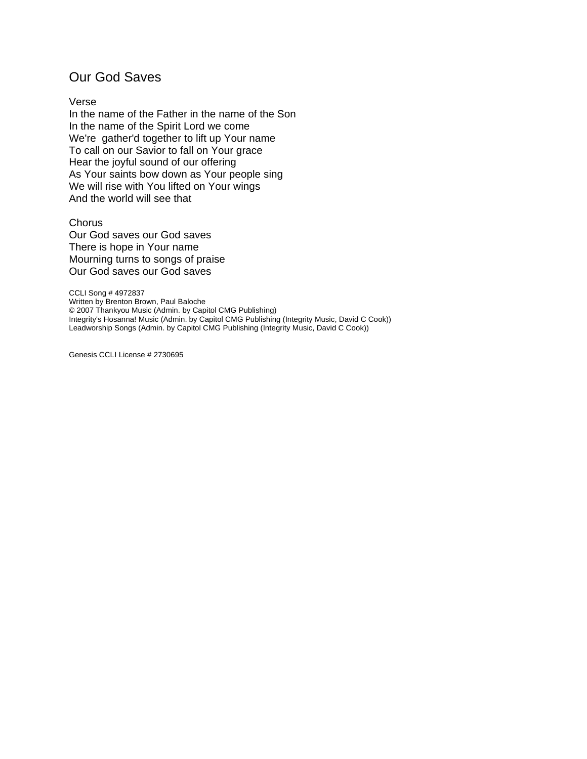## Our God Saves

#### Verse

In the name of the Father in the name of the Son In the name of the Spirit Lord we come We're gather'd together to lift up Your name To call on our Savior to fall on Your grace Hear the joyful sound of our offering As Your saints bow down as Your people sing We will rise with You lifted on Your wings And the world will see that

Chorus Our God saves our God saves There is hope in Your name Mourning turns to songs of praise Our God saves our God saves

CCLI Song # 4972837 Written by Brenton Brown, Paul Baloche © 2007 Thankyou Music (Admin. by Capitol CMG Publishing) Integrity's Hosanna! Music (Admin. by Capitol CMG Publishing (Integrity Music, David C Cook)) Leadworship Songs (Admin. by Capitol CMG Publishing (Integrity Music, David C Cook))

Genesis CCLI License # 2730695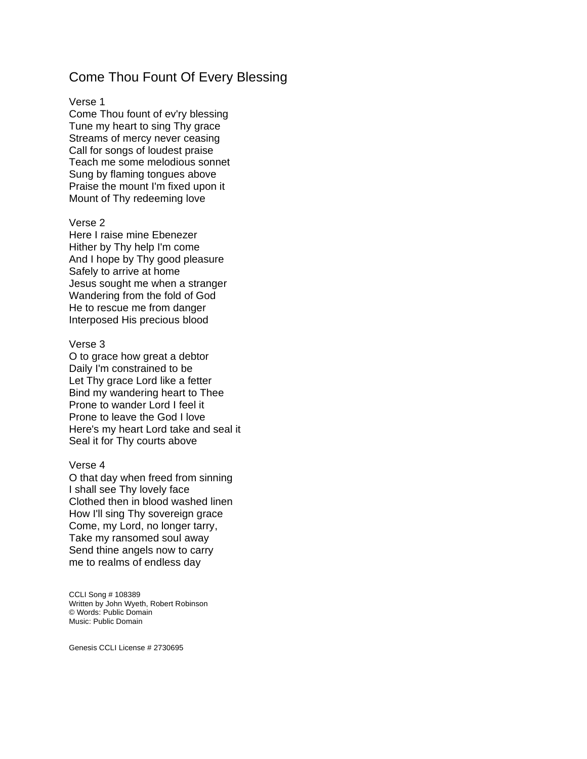## Come Thou Fount Of Every Blessing

#### Verse 1

Come Thou fount of ev'ry blessing Tune my heart to sing Thy grace Streams of mercy never ceasing Call for songs of loudest praise Teach me some melodious sonnet Sung by flaming tongues above Praise the mount I'm fixed upon it Mount of Thy redeeming love

#### Verse 2

Here I raise mine Ebenezer Hither by Thy help I'm come And I hope by Thy good pleasure Safely to arrive at home Jesus sought me when a stranger Wandering from the fold of God He to rescue me from danger Interposed His precious blood

#### Verse 3

O to grace how great a debtor Daily I'm constrained to be Let Thy grace Lord like a fetter Bind my wandering heart to Thee Prone to wander Lord I feel it Prone to leave the God I love Here's my heart Lord take and seal it Seal it for Thy courts above

#### Verse 4

O that day when freed from sinning I shall see Thy lovely face Clothed then in blood washed linen How I'll sing Thy sovereign grace Come, my Lord, no longer tarry, Take my ransomed soul away Send thine angels now to carry me to realms of endless day

CCLI Song # 108389 Written by John Wyeth, Robert Robinson © Words: Public Domain Music: Public Domain

Genesis CCLI License # 2730695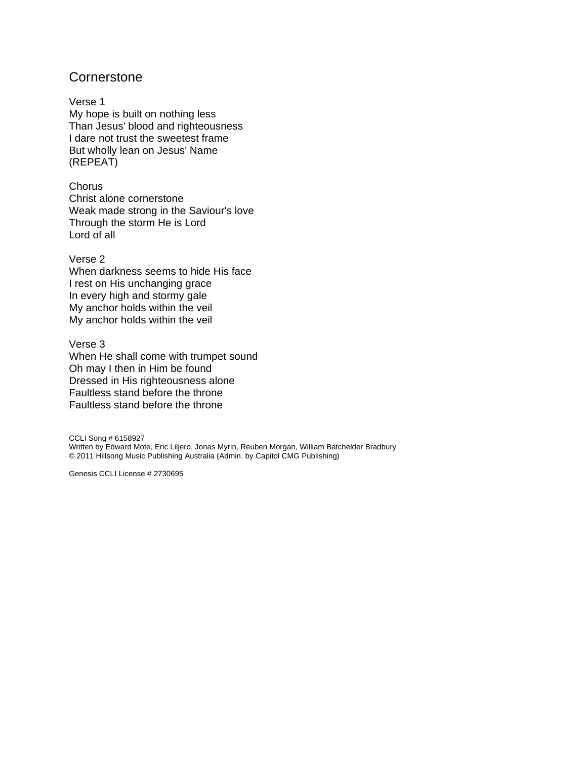## **Cornerstone**

Verse 1 My hope is built on nothing less Than Jesus' blood and righteousness I dare not trust the sweetest frame But wholly lean on Jesus' Name (REPEAT)

Chorus Christ alone cornerstone Weak made strong in the Saviour's love Through the storm He is Lord Lord of all

### Verse 2

When darkness seems to hide His face I rest on His unchanging grace In every high and stormy gale My anchor holds within the veil My anchor holds within the veil

#### Verse 3

When He shall come with trumpet sound Oh may I then in Him be found Dressed in His righteousness alone Faultless stand before the throne Faultless stand before the throne

CCLI Song # 6158927 Written by Edward Mote, Eric Liljero, Jonas Myrin, Reuben Morgan, William Batchelder Bradbury © 2011 Hillsong Music Publishing Australia (Admin. by Capitol CMG Publishing)

Genesis CCLI License # 2730695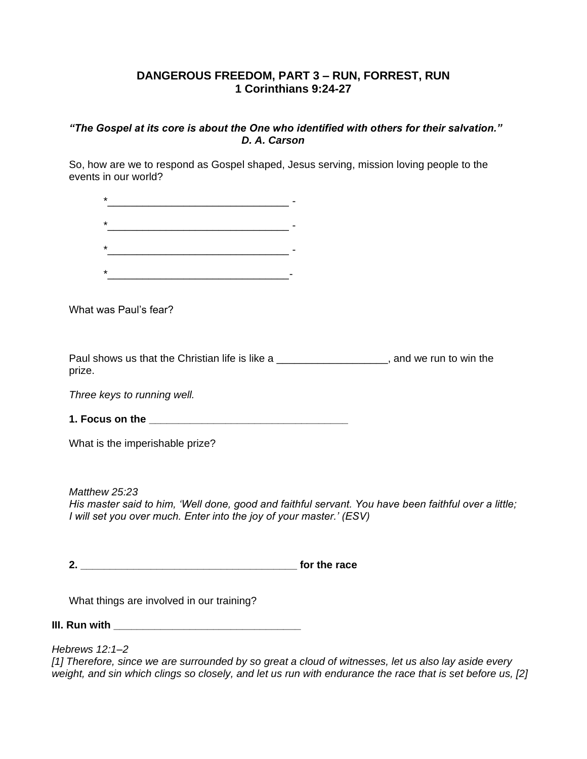## **DANGEROUS FREEDOM, PART 3 – RUN, FORREST, RUN 1 Corinthians 9:24-27**

### *"The Gospel at its core is about the One who identified with others for their salvation." D. A. Carson*

So, how are we to respond as Gospel shaped, Jesus serving, mission loving people to the events in our world?

| ÷       |  |  |
|---------|--|--|
| $\star$ |  |  |
| $\star$ |  |  |
| ÷       |  |  |

What was Paul's fear?

Paul shows us that the Christian life is like a \_\_\_\_\_\_\_\_\_\_\_\_\_\_\_\_\_\_\_\_, and we run to win the prize.

*Three keys to running well.*

**1. Focus on the \_\_\_\_\_\_\_\_\_\_\_\_\_\_\_\_\_\_\_\_\_\_\_\_\_\_\_\_\_\_\_\_\_\_**

What is the imperishable prize?

*Matthew 25:23 His master said to him, 'Well done, good and faithful servant. You have been faithful over a little; I will set you over much. Enter into the joy of your master.' (ESV)*

**2. \_\_\_\_\_\_\_\_\_\_\_\_\_\_\_\_\_\_\_\_\_\_\_\_\_\_\_\_\_\_\_\_\_\_\_\_\_ for the race**

What things are involved in our training?

**III. Run with \_\_\_\_\_\_\_\_\_\_\_\_\_\_\_\_\_\_\_\_\_\_\_\_\_\_\_\_\_\_\_\_** 

*Hebrews 12:1–2*

*[1] Therefore, since we are surrounded by so great a cloud of witnesses, let us also lay aside every weight, and sin which clings so closely, and let us run with endurance the race that is set before us, [2]*